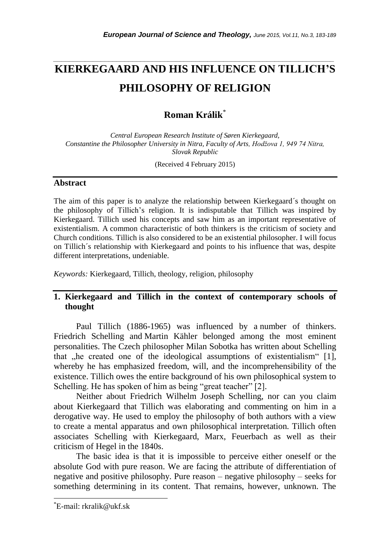# **KIERKEGAARD AND HIS INFLUENCE ON TILLICH'S PHILOSOPHY OF RELIGION**

*\_\_\_\_\_\_\_\_\_\_\_\_\_\_\_\_\_\_\_\_\_\_\_\_\_\_\_\_\_\_\_\_\_\_\_\_\_\_\_\_\_\_\_\_\_\_\_\_\_\_\_\_\_\_\_\_\_\_\_\_\_\_\_\_\_\_\_\_\_\_\_*

## **Roman Králik**\*

*Central European Research Institute of Søren Kierkegaard, Constantine the Philosopher University in Nitra, Faculty of Arts, Hodžova 1, 949 74 Nitra, Slovak Republic*

(Received 4 February 2015)

#### **Abstract**

The aim of this paper is to analyze the relationship between Kierkegaard´s thought on the philosophy of Tillich"s religion. It is indisputable that Tillich was inspired by Kierkegaard. Tillich used his concepts and saw him as an important representative of existentialism. A common characteristic of both thinkers is the criticism of society and Church conditions. Tillich is also considered to be an existential philosopher. I will focus on Tillich´s relationship with Kierkegaard and points to his influence that was, despite different interpretations, undeniable.

*Keywords:* Kierkegaard, Tillich, theology, religion, philosophy

## **1. Kierkegaard and Tillich in the context of contemporary schools of thought**

Paul Tillich (1886-1965) was influenced by a number of thinkers. Friedrich Schelling and Martin Kähler belonged among the most eminent personalities. The Czech philosopher Milan Sobotka has written about Schelling that  $\mu$  he created one of the ideological assumptions of existentialism [1], whereby he has emphasized freedom, will, and the incomprehensibility of the existence. Tillich owes the entire background of his own philosophical system to Schelling. He has spoken of him as being "great teacher" [2].

Neither about Friedrich Wilhelm Joseph Schelling, nor can you claim about Kierkegaard that Tillich was elaborating and commenting on him in a derogative way. He used to employ the philosophy of both authors with a view to create a mental apparatus and own philosophical interpretation. Tillich often associates Schelling with Kierkegaard, Marx, Feuerbach as well as their criticism of Hegel in the 1840s.

The basic idea is that it is impossible to perceive either oneself or the absolute God with pure reason. We are facing the attribute of differentiation of negative and positive philosophy. Pure reason – negative philosophy – seeks for something determining in its content. That remains, however, unknown. The

l

<sup>\*</sup>E-mail: rkralik@ukf.sk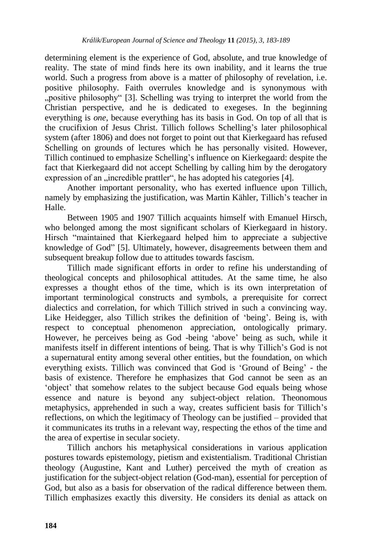determining element is the experience of God, absolute, and true knowledge of reality. The state of mind finds here its own inability, and it learns the true world. Such a progress from above is a matter of philosophy of revelation, i.e. positive philosophy. Faith overrules knowledge and is synonymous with "positive philosophy" [3]. Schelling was trying to interpret the world from the Christian perspective, and he is dedicated to exegeses. In the beginning everything is *one*, because everything has its basis in God. On top of all that is the crucifixion of Jesus Christ. Tillich follows Schelling"s later philosophical system (after 1806) and does not forget to point out that Kierkegaard has refused Schelling on grounds of lectures which he has personally visited. However, Tillich continued to emphasize Schelling"s influence on Kierkegaard: despite the fact that Kierkegaard did not accept Schelling by calling him by the derogatory expression of an "incredible prattler", he has adopted his categories [4].

Another important personality, who has exerted influence upon Tillich, namely by emphasizing the justification, was Martin Kähler, Tillich's teacher in Halle.

Between 1905 and 1907 Tillich acquaints himself with Emanuel Hirsch, who belonged among the most significant scholars of Kierkegaard in history. Hirsch "maintained that Kierkegaard helped him to appreciate a subjective knowledge of God" [5]. Ultimately, however, disagreements between them and subsequent breakup follow due to attitudes towards fascism.

Tillich made significant efforts in order to refine his understanding of theological concepts and philosophical attitudes. At the same time, he also expresses a thought ethos of the time, which is its own interpretation of important terminological constructs and symbols, a prerequisite for correct dialectics and correlation, for which Tillich strived in such a convincing way. Like Heidegger, also Tillich strikes the definition of 'being'. Being is, with respect to conceptual phenomenon appreciation, ontologically primary. However, he perceives being as God -being "above" being as such, while it manifests itself in different intentions of being. That is why Tillich"s God is not a supernatural entity among several other entities, but the foundation, on which everything exists. Tillich was convinced that God is "Ground of Being" - the basis of existence. Therefore he emphasizes that God cannot be seen as an "object" that somehow relates to the subject because God equals being whose essence and nature is beyond any subject-object relation. Theonomous metaphysics, apprehended in such a way, creates sufficient basis for Tillich"s reflections, on which the legitimacy of Theology can be justified – provided that it communicates its truths in a relevant way, respecting the ethos of the time and the area of expertise in secular society.

Tillich anchors his metaphysical considerations in various application postures towards epistemology, pietism and existentialism. Traditional Christian theology (Augustine, Kant and Luther) perceived the myth of creation as justification for the subject-object relation (God-man), essential for perception of God, but also as a basis for observation of the radical difference between them. Tillich emphasizes exactly this diversity. He considers its denial as attack on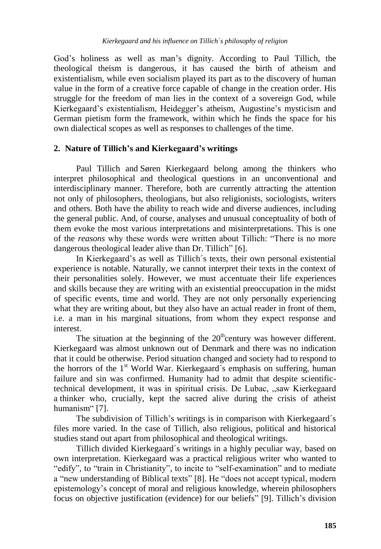God"s holiness as well as man"s dignity. According to Paul Tillich, the theological theism is dangerous, it has caused the birth of atheism and existentialism, while even socialism played its part as to the discovery of human value in the form of a creative force capable of change in the creation order. His struggle for the freedom of man lies in the context of a sovereign God, while Kierkegaard's existentialism, Heidegger's atheism, Augustine's mysticism and German pietism form the framework, within which he finds the space for his own dialectical scopes as well as responses to challenges of the time.

## **2. Nature of Tillich's and Kierkegaard's writings**

Paul Tillich and Søren Kierkegaard belong among the thinkers who interpret philosophical and theological questions in an unconventional and interdisciplinary manner. Therefore, both are currently attracting the attention not only of philosophers, theologians, but also religionists, sociologists, writers and others. Both have the ability to reach wide and diverse audiences, including the general public. And, of course, analyses and unusual conceptuality of both of them evoke the most various interpretations and misinterpretations. This is one of the *reasons* why these words were written about Tillich: "There is no more dangerous theological leader alive than Dr. Tillich" [6].

In Kierkegaard"s as well as Tillich´s texts, their own personal existential experience is notable. Naturally, we cannot interpret their texts in the context of their personalities solely. However, we must accentuate their life experiences and skills because they are writing with an existential preoccupation in the midst of specific events, time and world. They are not only personally experiencing what they are writing about, but they also have an actual reader in front of them, i.e. a man in his marginal situations, from whom they expect response and interest.

The situation at the beginning of the  $20<sup>th</sup>$ century was however different. Kierkegaard was almost unknown out of Denmark and there was no indication that it could be otherwise. Period situation changed and society had to respond to the horrors of the 1<sup>st</sup> World War. Kierkegaard's emphasis on suffering, human failure and sin was confirmed. Humanity had to admit that despite scientifictechnical development, it was in spiritual crisis. De Lubac, "saw Kierkegaard a thinker who, crucially, kept the sacred alive during the crisis of atheist humanism" [7].

The subdivision of Tillich"s writings is in comparison with Kierkegaard´s files more varied. In the case of Tillich, also religious, political and historical studies stand out apart from philosophical and theological writings.

Tillich divided Kierkegaard´s writings in a highly peculiar way, based on own interpretation. Kierkegaard was a practical religious writer who wanted to "edify", to "train in Christianity", to incite to "self-examination" and to mediate a "new understanding of Biblical texts" [8]. He "does not accept typical, modern epistemology"s concept of moral and religious knowledge, wherein philosophers focus on objective justification (evidence) for our beliefs" [9]. Tillich"s division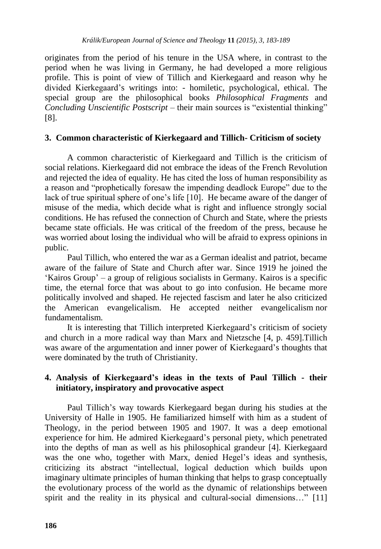originates from the period of his tenure in the USA where, in contrast to the period when he was living in Germany, he had developed a more religious profile. This is point of view of Tillich and Kierkegaard and reason why he divided Kierkegaard"s writings into: - homiletic, psychological, ethical. The special group are the philosophical books *Philosophical Fragments* and *Concluding Unscientific Postscript* – their main sources is "existential thinking" [8].

### **3. Common characteristic of Kierkegaard and Tillich- Criticism of society**

A common characteristic of Kierkegaard and Tillich is the criticism of social relations. Kierkegaard did not embrace the ideas of the French Revolution and rejected the idea of equality. He has cited the loss of human responsibility as a reason and "prophetically foresaw the impending deadlock Europe" due to the lack of true spiritual sphere of one's life [10]. He became aware of the danger of misuse of the media, which decide what is right and influence strongly social conditions. He has refused the connection of Church and State, where the priests became state officials. He was critical of the freedom of the press, because he was worried about losing the individual who will be afraid to express opinions in public.

Paul Tillich, who entered the war as a German idealist and patriot, became aware of the failure of State and Church after war. Since 1919 he joined the "Kairos Group" – a group of religious socialists in Germany. Kairos is a specific time, the eternal force that was about to go into confusion. He became more politically involved and shaped. He rejected fascism and later he also criticized the American evangelicalism. He accepted neither evangelicalism nor fundamentalism.

It is interesting that Tillich interpreted Kierkegaard"s criticism of society and church in a more radical way than Marx and Nietzsche [4, p. 459].Tillich was aware of the argumentation and inner power of Kierkegaard"s thoughts that were dominated by the truth of Christianity.

## **4. Analysis of Kierkegaard's ideas in the texts of Paul Tillich - their initiatory, inspiratory and provocative aspect**

Paul Tillich"s way towards Kierkegaard began during his studies at the University of Halle in 1905. He familiarized himself with him as a student of Theology, in the period between 1905 and 1907. It was a deep emotional experience for him. He admired Kierkegaard"s personal piety, which penetrated into the depths of man as well as his philosophical grandeur [4]. Kierkegaard was the one who, together with Marx, denied Hegel's ideas and synthesis, criticizing its abstract "intellectual, logical deduction which builds upon imaginary ultimate principles of human thinking that helps to grasp conceptually the evolutionary process of the world as the dynamic of relationships between spirit and the reality in its physical and cultural-social dimensions..." [11]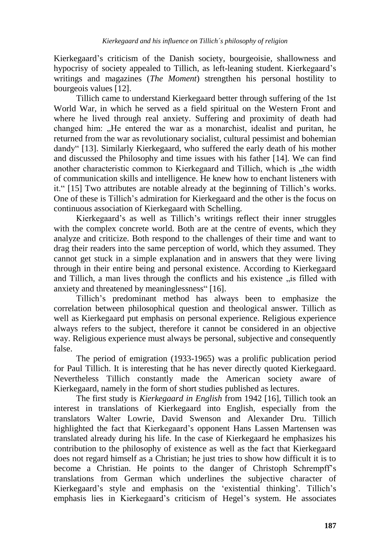Kierkegaard"s criticism of the Danish society, bourgeoisie, shallowness and hypocrisy of society appealed to Tillich, as left-leaning student. Kierkegaard"s writings and magazines (*The Moment*) strengthen his personal hostility to bourgeois values [12].

Tillich came to understand Kierkegaard better through suffering of the 1st World War, in which he served as a field spiritual on the Western Front and where he lived through real anxiety. Suffering and proximity of death had changed him: "He entered the war as a monarchist, idealist and puritan, he returned from the war as revolutionary socialist, cultural pessimist and bohemian dandy" [13]. Similarly Kierkegaard, who suffered the early death of his mother and discussed the Philosophy and time issues with his father [14]. We can find another characteristic common to Kierkegaard and Tillich, which is "the width of communication skills and intelligence. He knew how to enchant listeners with it." [15] Two attributes are notable already at the beginning of Tillich"s works. One of these is Tillich"s admiration for Kierkegaard and the other is the focus on continuous association of Kierkegaard with Schelling.

Kierkegaard"s as well as Tillich"s writings reflect their inner struggles with the complex concrete world. Both are at the centre of events, which they analyze and criticize. Both respond to the challenges of their time and want to drag their readers into the same perception of world, which they assumed. They cannot get stuck in a simple explanation and in answers that they were living through in their entire being and personal existence. According to Kierkegaard and Tillich, a man lives through the conflicts and his existence  $\alpha$  is filled with anxiety and threatened by meaninglessness" [16].

Tillich"s predominant method has always been to emphasize the correlation between philosophical question and theological answer. Tillich as well as Kierkegaard put emphasis on personal experience. Religious experience always refers to the subject, therefore it cannot be considered in an objective way. Religious experience must always be personal, subjective and consequently false.

The period of emigration (1933-1965) was a prolific publication period for Paul Tillich. It is interesting that he has never directly quoted Kierkegaard. Nevertheless Tillich constantly made the American society aware of Kierkegaard, namely in the form of short studies published as lectures.

The first study is *Kierkegaard in English* from 1942 [16], Tillich took an interest in translations of Kierkegaard into English, especially from the translators Walter Lowrie, David Swenson and Alexander Dru. Tillich highlighted the fact that Kierkegaard"s opponent Hans Lassen Martensen was translated already during his life. In the case of Kierkegaard he emphasizes his contribution to the philosophy of existence as well as the fact that Kierkegaard does not regard himself as a Christian; he just tries to show how difficult it is to become a Christian. He points to the danger of Christoph Schrempff"s translations from German which underlines the subjective character of Kierkegaard's style and emphasis on the 'existential thinking'. Tillich's emphasis lies in Kierkegaard"s criticism of Hegel"s system. He associates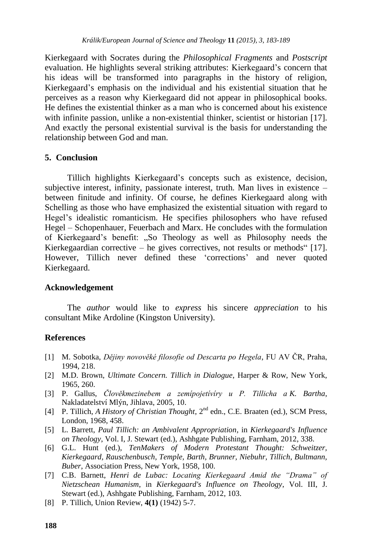Kierkegaard with Socrates during the *Philosophical Fragments* and *Postscript* evaluation. He highlights several striking attributes: Kierkegaard"s concern that his ideas will be transformed into paragraphs in the history of religion, Kierkegaard"s emphasis on the individual and his existential situation that he perceives as a reason why Kierkegaard did not appear in philosophical books. He defines the existential thinker as a man who is concerned about his existence with infinite passion, unlike a non-existential thinker, scientist or historian [17]. And exactly the personal existential survival is the basis for understanding the relationship between God and man.

#### **5. Conclusion**

Tillich highlights Kierkegaard"s concepts such as existence, decision, subjective interest, infinity, passionate interest, truth. Man lives in existence  $$ between finitude and infinity. Of course, he defines Kierkegaard along with Schelling as those who have emphasized the existential situation with regard to Hegel"s idealistic romanticism. He specifies philosophers who have refused Hegel – Schopenhauer, Feuerbach and Marx. He concludes with the formulation of Kierkegaard"s benefit: "So Theology as well as Philosophy needs the Kierkegaardian corrective – he gives correctives, not results or methods [17]. However, Tillich never defined these "corrections" and never quoted Kierkegaard.

#### **Acknowledgement**

The *author* would like to *express* his sincere *appreciation* to his consultant Mike Ardoline (Kingston University).

#### **References**

- [1] M. Sobotka, *Dějiny novověké filosofie od Descarta po Hegela*, FU AV ČR, Praha, 1994, 218.
- [2] M.D. Brown, *Ultimate Concern. Tillich in Dialogue*, Harper & Row, New York, 1965, 260.
- [3] P. Gallus, *Člověkmezinebem a zemípojetívíry u P. Tillicha a K. Bartha*, Nakladatelství Mlýn, Jihlava, 2005, 10.
- [4] P. Tillich, *A History of Christian Thought*, 2<sup>nd</sup> edn., C.E. Braaten (ed.), SCM Press, London, 1968, 458.
- [5] L. Barrett, *Paul Tillich: an Ambivalent Appropriation*, in *Kierkegaard's Influence on Theology*, Vol. I, J. Stewart (ed.), Ashhgate Publishing, Farnham, 2012, 338.
- [6] G.L. Hunt (ed.), *TenMakers of Modern Protestant Thought: Schweitzer, Kierkegaard, Rauschenbusch, Temple, Barth, Brunner, Niebuhr, Tillich, Bultmann, Buber*, Association Press, New York, 1958, 100.
- [7] C.B. Barnett, *Henri de Lubac: Locating Kierkegaard Amid the "Drama" of Nietzschean Humanism*, in *Kierkegaard's Influence on Theology*, Vol. III, J. Stewart (ed.), Ashhgate Publishing, Farnham, 2012, 103.
- [8] P. Tillich, Union Review, **4(1)** (1942) 5-7.